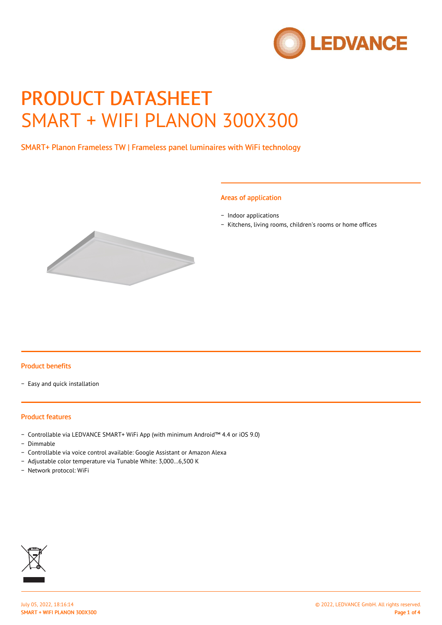

# PRODUCT DATASHEET SMART + WIFI PLANON 300X300

SMART+ Planon Frameless TW | Frameless panel luminaires with WiFi technology

#### Areas of application

- − Indoor applications
- − Kitchens, living rooms, children's rooms or home offices



#### Product benefits

− Easy and quick installation

#### Product features

- − Controllable via LEDVANCE SMART+ WiFi App (with minimum Android™ 4.4 or iOS 9.0)
- − Dimmable
- − Controllable via voice control available: Google Assistant or Amazon Alexa
- − Adjustable color temperature via Tunable White: 3,000…6,500 K
- − Network protocol: WiFi

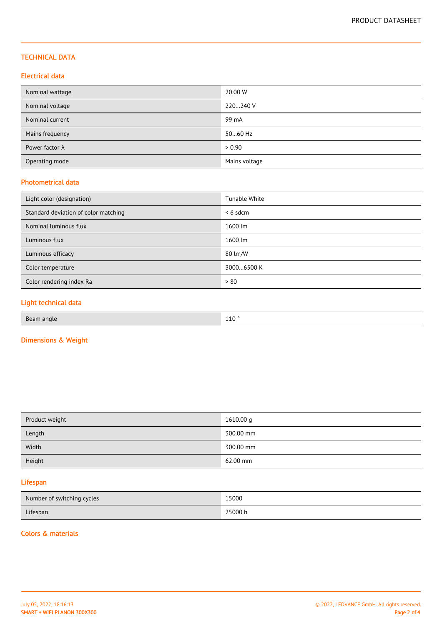## TECHNICAL DATA

## Electrical data

| Nominal wattage        | 20.00 W       |
|------------------------|---------------|
| Nominal voltage        | 220240 V      |
| Nominal current        | 99 mA         |
| Mains frequency        | 5060 Hz       |
| Power factor $\lambda$ | > 0.90        |
| Operating mode         | Mains voltage |

## Photometrical data

| Light color (designation)            | Tunable White |
|--------------------------------------|---------------|
| Standard deviation of color matching | $< 6$ sdcm    |
| Nominal luminous flux                | 1600 lm       |
| Luminous flux                        | 1600 lm       |
| Luminous efficacy                    | 80 lm/W       |
| Color temperature                    | 30006500 K    |
| Color rendering index Ra             | > 80          |
|                                      |               |

## Light technical data

| 110 <sup>°</sup><br>Beam angle<br>$\sim$ |  |
|------------------------------------------|--|
|------------------------------------------|--|

## Dimensions & Weight

| Product weight | 1610.00 g |
|----------------|-----------|
| Length         | 300.00 mm |
| Width          | 300.00 mm |
| Height         | 62.00 mm  |

## Lifespan

| Number of switching cycles | 15000   |
|----------------------------|---------|
| Lifespan                   | 25000 h |

#### Colors & materials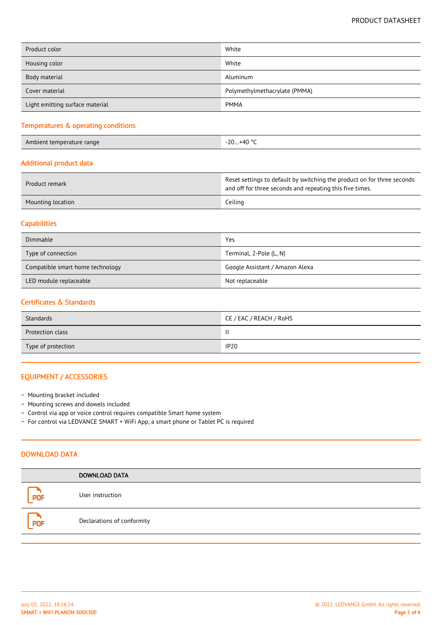| Product color                   | White                         |
|---------------------------------|-------------------------------|
| Housing color                   | White                         |
| Body material                   | Aluminum                      |
| Cover material                  | Polymethylmethacrylate (PMMA) |
| Light emitting surface material | <b>PMMA</b>                   |

## Temperatures & operating conditions

Ambient temperature range -20 and 20 and 20 and 20 and 20 and 20 and 20 and 20 and 20 and 20 and 20 and 20 and

#### Additional product data

| Product remark    | Reset settings to default by switching the product on for three seconds<br>and off for three seconds and repeating this five times. |
|-------------------|-------------------------------------------------------------------------------------------------------------------------------------|
| Mounting location | Ceiling                                                                                                                             |

## **Capabilities**

| Dimmable                         | Yes                             |
|----------------------------------|---------------------------------|
| Type of connection               | Terminal, 2-Pole (L, N)         |
| Compatible smart home technology | Google Assistant / Amazon Alexa |
| LED module replaceable           | Not replaceable                 |

#### Certificates & Standards

| Standards               | CE / EAC / REACH / RoHS |
|-------------------------|-------------------------|
| <b>Protection class</b> |                         |
| Type of protection      | <b>IP20</b>             |

## EQUIPMENT / ACCESSORIES

- − Mounting bracket included
- − Mounting screws and dowels included
- − Control via app or voice control requires compatible Smart home system
- − For control via LEDVANCE SMART + WiFi App, a smart phone or Tablet PC is required

## DOWNLOAD DATA

|            | <b>DOWNLOAD DATA</b>       |
|------------|----------------------------|
| <b>PDF</b> | User instruction           |
| <b>PDF</b> | Declarations of conformity |